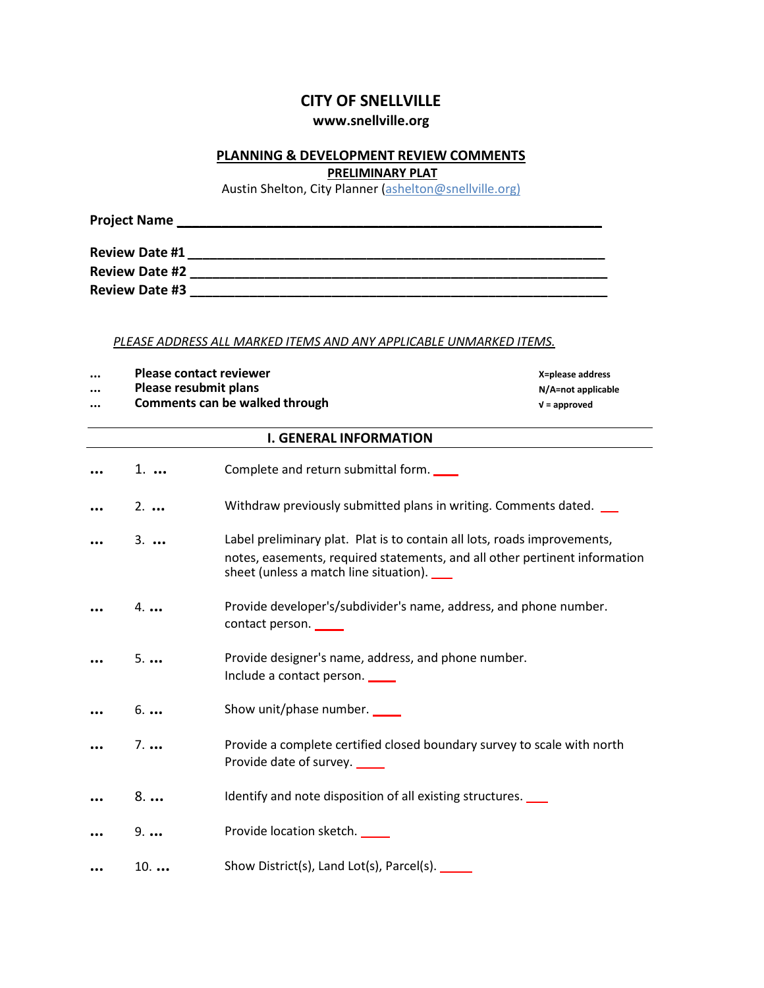# **CITY OF SNELLVILLE**

# **[www.snellville.org](http://www.snellville.org/)**

## **PLANNING & DEVELOPMENT REVIEW COMMENTS**

**PRELIMINARY PLAT**

Austin Shelton, City Planner (ashelton@snellville.org)

| <b>Project Name</b>   |  |
|-----------------------|--|
| <b>Review Date #1</b> |  |
| <b>Review Date #2</b> |  |
| <b>Review Date #3</b> |  |

### *PLEASE ADDRESS ALL MARKED ITEMS AND ANY APPLICABLE UNMARKED ITEMS.*

- **... Please contact reviewer X=please address**
- **... Please resubmit plans N/A=not applicable**
- **... Comments can be walked through √ = approved**

| <b>I. GENERAL INFORMATION</b> |                                                                                                                                                                                                      |  |
|-------------------------------|------------------------------------------------------------------------------------------------------------------------------------------------------------------------------------------------------|--|
| 1.                            | Complete and return submittal form.                                                                                                                                                                  |  |
| $2. \ldots$                   | Withdraw previously submitted plans in writing. Comments dated.                                                                                                                                      |  |
| $3. \ldots$                   | Label preliminary plat. Plat is to contain all lots, roads improvements,<br>notes, easements, required statements, and all other pertinent information<br>sheet (unless a match line situation). ___ |  |
| $4. \ldots$                   | Provide developer's/subdivider's name, address, and phone number.<br>contact person.                                                                                                                 |  |
| 5                             | Provide designer's name, address, and phone number.<br>Include a contact person.                                                                                                                     |  |
| 6                             | Show unit/phase number.                                                                                                                                                                              |  |
| $7. \ldots$                   | Provide a complete certified closed boundary survey to scale with north<br>Provide date of survey.                                                                                                   |  |
| 8                             | Identify and note disposition of all existing structures.                                                                                                                                            |  |
| $9. \ldots$                   | Provide location sketch.                                                                                                                                                                             |  |
| $10.$                         | Show District(s), Land Lot(s), Parcel(s). ______                                                                                                                                                     |  |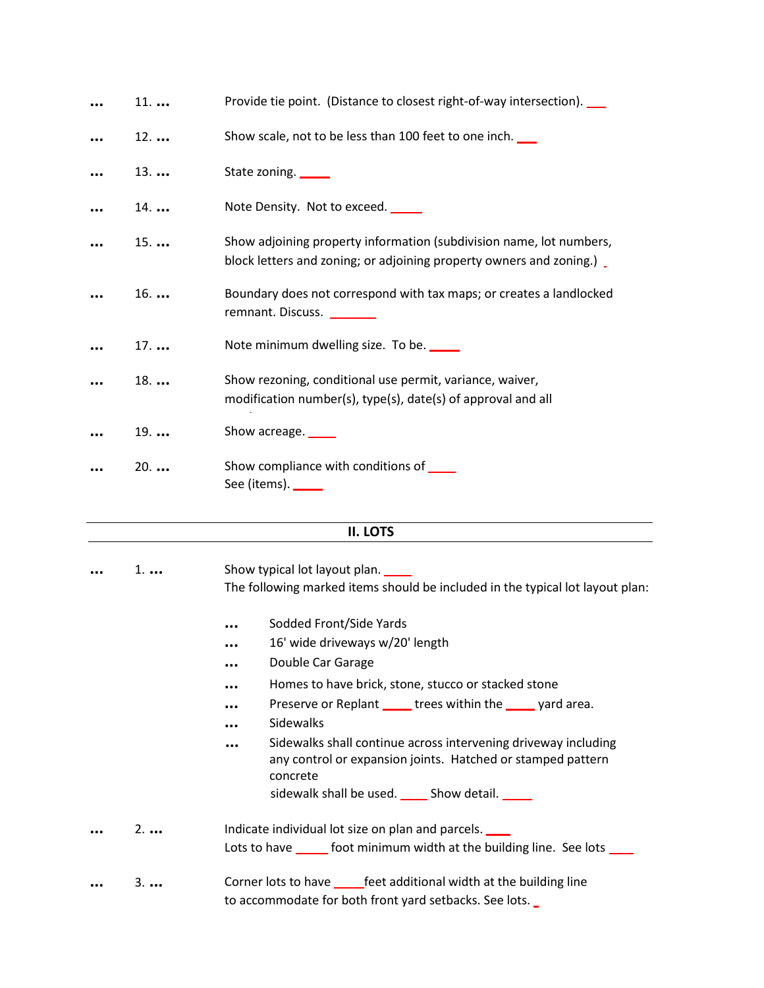| 11          | Provide tie point. (Distance to closest right-of-way intersection).                                                                         |
|-------------|---------------------------------------------------------------------------------------------------------------------------------------------|
| $12.$       | Show scale, not to be less than 100 feet to one inch.                                                                                       |
| 13          | State zoning.                                                                                                                               |
| 14          | Note Density. Not to exceed.                                                                                                                |
| 15          | Show adjoining property information (subdivision name, lot numbers,<br>block letters and zoning; or adjoining property owners and zoning.). |
| 16          | Boundary does not correspond with tax maps; or creates a landlocked<br>remnant. Discuss. ________                                           |
| 17          | Note minimum dwelling size. To be.                                                                                                          |
| $18.$       | Show rezoning, conditional use permit, variance, waiver,<br>modification number(s), type(s), date(s) of approval and all                    |
| $19.$       | Show acreage.                                                                                                                               |
| $20.$       | Show compliance with conditions of _____<br>See (items). _____                                                                              |
|             | II. LOTS                                                                                                                                    |
|             | Show typical lot layout plan.                                                                                                               |
| $1. \ldots$ | The following marked items should be included in the typical lot layout plan:                                                               |
|             | Sodded Front/Side Yards                                                                                                                     |
|             | 16' wide driveways w/20' length                                                                                                             |
|             | Double Car Garage                                                                                                                           |
|             | Homes to have brick, stone, stucco or stacked stone                                                                                         |
|             | Preserve or Replant _____ trees within the _____ yard area.                                                                                 |
|             | Sidewalks                                                                                                                                   |
|             | Sidewalks shall continue across intervening driveway including<br>any control or expansion joints. Hatched or stamped pattern               |
|             | concrete<br>sidewalk shall be used. ______ Show detail. _____                                                                               |
| $2. \ldots$ | Indicate individual lot size on plan and parcels.                                                                                           |
|             | Lots to have ______ foot minimum width at the building line. See lots ____                                                                  |
|             |                                                                                                                                             |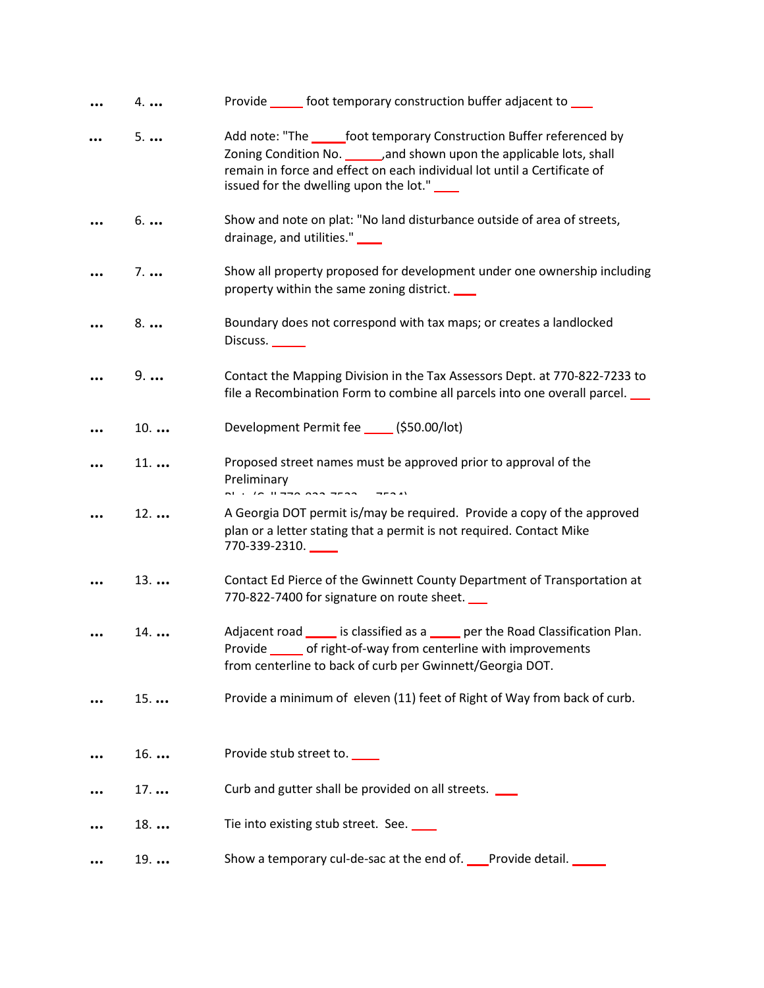| 4.          | Provide ______ foot temporary construction buffer adjacent to ____                                                                                                                                                                                                          |
|-------------|-----------------------------------------------------------------------------------------------------------------------------------------------------------------------------------------------------------------------------------------------------------------------------|
| 5           | Add note: "The same foot temporary Construction Buffer referenced by<br>Zoning Condition No. ________, and shown upon the applicable lots, shall<br>remain in force and effect on each individual lot until a Certificate of<br>issued for the dwelling upon the lot." ____ |
| 6           | Show and note on plat: "No land disturbance outside of area of streets,<br>drainage, and utilities." ___                                                                                                                                                                    |
| $7. \ldots$ | Show all property proposed for development under one ownership including<br>property within the same zoning district.                                                                                                                                                       |
| 8           | Boundary does not correspond with tax maps; or creates a landlocked<br>Discuss.                                                                                                                                                                                             |
| $9. \ldots$ | Contact the Mapping Division in the Tax Assessors Dept. at 770-822-7233 to<br>file a Recombination Form to combine all parcels into one overall parcel.                                                                                                                     |
| 10          | Development Permit fee ______ (\$50.00/lot)                                                                                                                                                                                                                                 |
| 11          | Proposed street names must be approved prior to approval of the<br>Preliminary                                                                                                                                                                                              |
| $12.$       | A Georgia DOT permit is/may be required. Provide a copy of the approved<br>plan or a letter stating that a permit is not required. Contact Mike<br>770-339-2310. _____                                                                                                      |
| 13          | Contact Ed Pierce of the Gwinnett County Department of Transportation at<br>770-822-7400 for signature on route sheet.                                                                                                                                                      |
| 14          | Adjacent road ______ is classified as a _____ per the Road Classification Plan.<br>of right-of-way from centerline with improvements<br>Provide<br>from centerline to back of curb per Gwinnett/Georgia DOT.                                                                |
| 15          | Provide a minimum of eleven (11) feet of Right of Way from back of curb.                                                                                                                                                                                                    |
| 16          | Provide stub street to.                                                                                                                                                                                                                                                     |
| 17          | Curb and gutter shall be provided on all streets.                                                                                                                                                                                                                           |
| 18          | Tie into existing stub street. See.                                                                                                                                                                                                                                         |
| 19          | Show a temporary cul-de-sac at the end of. Provide detail.                                                                                                                                                                                                                  |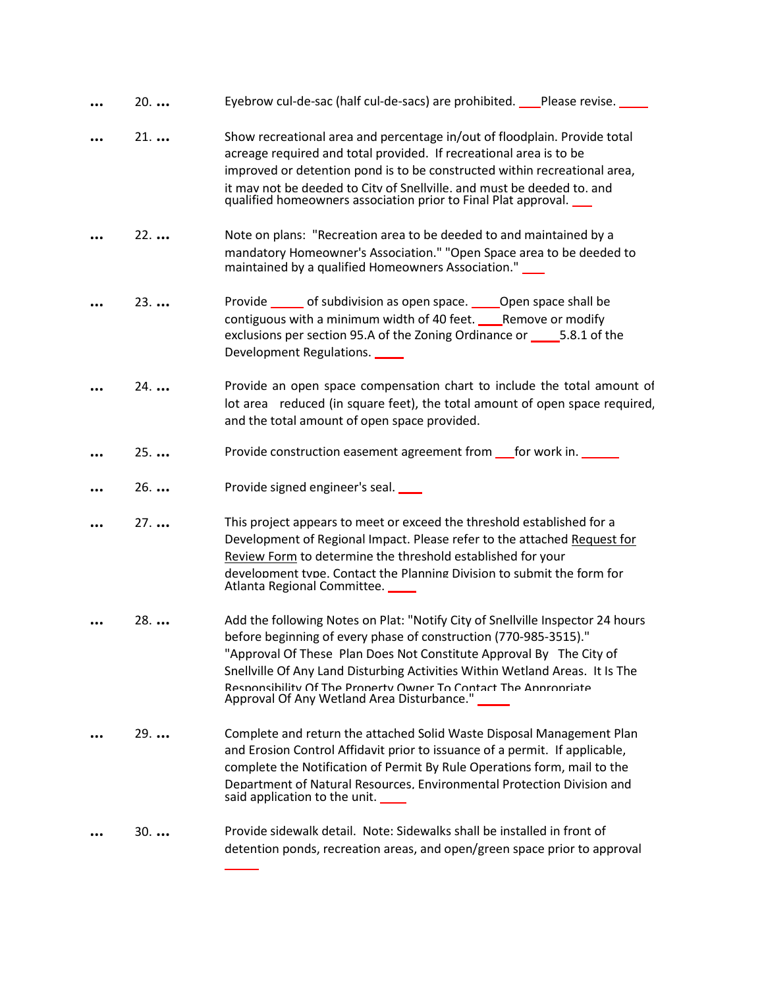| $20.$        | Eyebrow cul-de-sac (half cul-de-sacs) are prohibited. Please revise. ____                                                                                                                                                                                                                                                                                                                                                  |
|--------------|----------------------------------------------------------------------------------------------------------------------------------------------------------------------------------------------------------------------------------------------------------------------------------------------------------------------------------------------------------------------------------------------------------------------------|
| $21.$        | Show recreational area and percentage in/out of floodplain. Provide total<br>acreage required and total provided. If recreational area is to be<br>improved or detention pond is to be constructed within recreational area,<br>it may not be deeded to City of Snellville, and must be deeded to, and<br>qualified homeowners association prior to Final Plat approval.                                                   |
| $22.$        | Note on plans: "Recreation area to be deeded to and maintained by a<br>mandatory Homeowner's Association." "Open Space area to be deeded to<br>maintained by a qualified Homeowners Association." ___                                                                                                                                                                                                                      |
| $23.$        | Provide ______ of subdivision as open space. _____ Open space shall be<br>contiguous with a minimum width of 40 feet. ____Remove or modify<br>exclusions per section 95.A of the Zoning Ordinance or _________5.8.1 of the<br>Development Regulations.                                                                                                                                                                     |
| 24.          | Provide an open space compensation chart to include the total amount of<br>lot area reduced (in square feet), the total amount of open space required,<br>and the total amount of open space provided.                                                                                                                                                                                                                     |
| $25. \ldots$ | Provide construction easement agreement from _for work in. ___                                                                                                                                                                                                                                                                                                                                                             |
| 26           | Provide signed engineer's seal.                                                                                                                                                                                                                                                                                                                                                                                            |
| $27.$        | This project appears to meet or exceed the threshold established for a<br>Development of Regional Impact. Please refer to the attached Request for<br>Review Form to determine the threshold established for your<br>development type. Contact the Planning Division to submit the form for<br>Atlanta Regional Committee.                                                                                                 |
| 28.          | Add the following Notes on Plat: "Notify City of Snellville Inspector 24 hours<br>before beginning of every phase of construction (770-985-3515)."<br>"Approval Of These Plan Does Not Constitute Approval By The City of<br>Snellville Of Any Land Disturbing Activities Within Wetland Areas. It Is The<br>Responsibility Of The Property Owner To Contact The Appropriate<br>Approval Of Any Wetland Area Disturbance." |
| $29.$        | Complete and return the attached Solid Waste Disposal Management Plan<br>and Erosion Control Affidavit prior to issuance of a permit. If applicable,<br>complete the Notification of Permit By Rule Operations form, mail to the<br>Department of Natural Resources. Environmental Protection Division and<br>said application to the unit.                                                                                |
| $30.$        | Provide sidewalk detail. Note: Sidewalks shall be installed in front of<br>detention ponds, recreation areas, and open/green space prior to approval                                                                                                                                                                                                                                                                       |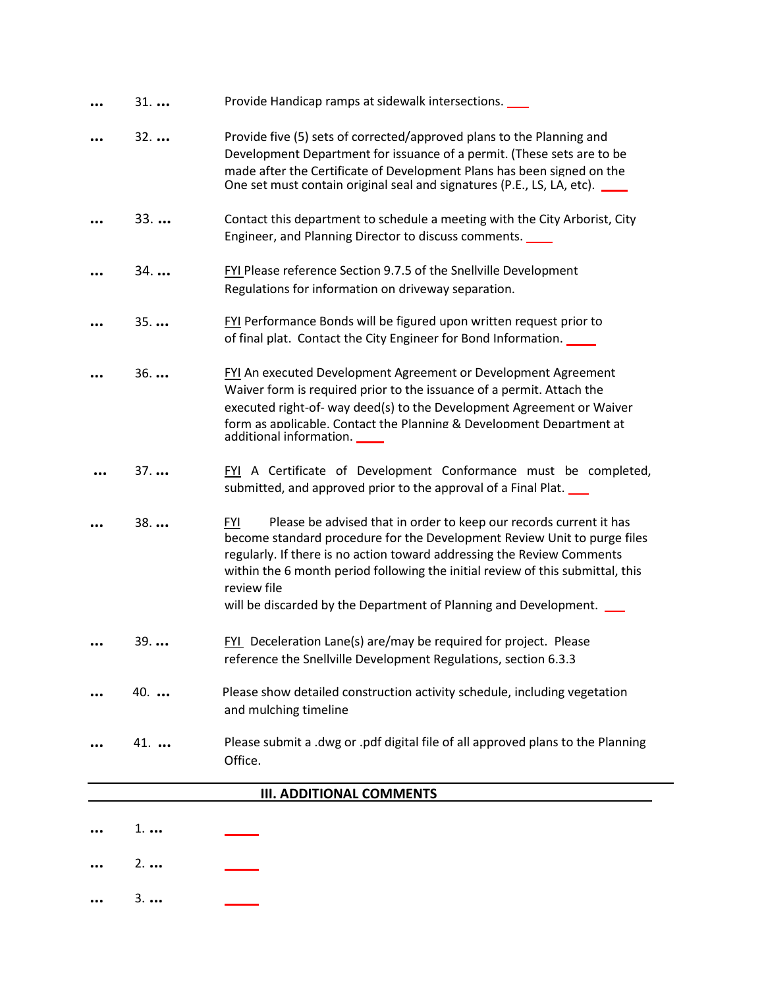| $31.$       | Provide Handicap ramps at sidewalk intersections.                                                                                                                                                                                                                                                                                                                                                           |
|-------------|-------------------------------------------------------------------------------------------------------------------------------------------------------------------------------------------------------------------------------------------------------------------------------------------------------------------------------------------------------------------------------------------------------------|
| $32.$       | Provide five (5) sets of corrected/approved plans to the Planning and                                                                                                                                                                                                                                                                                                                                       |
|             | Development Department for issuance of a permit. (These sets are to be                                                                                                                                                                                                                                                                                                                                      |
|             | made after the Certificate of Development Plans has been signed on the<br>One set must contain original seal and signatures (P.E., LS, LA, etc).                                                                                                                                                                                                                                                            |
| $33.$       | Contact this department to schedule a meeting with the City Arborist, City<br>Engineer, and Planning Director to discuss comments.                                                                                                                                                                                                                                                                          |
| 34          | FYI Please reference Section 9.7.5 of the Snellville Development<br>Regulations for information on driveway separation.                                                                                                                                                                                                                                                                                     |
| 35          | FYI Performance Bonds will be figured upon written request prior to<br>of final plat. Contact the City Engineer for Bond Information. ____                                                                                                                                                                                                                                                                  |
| $36.$       | FYI An executed Development Agreement or Development Agreement<br>Waiver form is required prior to the issuance of a permit. Attach the<br>executed right-of- way deed(s) to the Development Agreement or Waiver<br>form as applicable. Contact the Planning & Development Department at<br>additional information.                                                                                         |
| $37.$       | FYI A Certificate of Development Conformance must be completed,<br>submitted, and approved prior to the approval of a Final Plat.                                                                                                                                                                                                                                                                           |
| 38          | Please be advised that in order to keep our records current it has<br><b>FYI</b><br>become standard procedure for the Development Review Unit to purge files<br>regularly. If there is no action toward addressing the Review Comments<br>within the 6 month period following the initial review of this submittal, this<br>review file<br>will be discarded by the Department of Planning and Development. |
| $39.$       | FYI Deceleration Lane(s) are/may be required for project. Please<br>reference the Snellville Development Regulations, section 6.3.3                                                                                                                                                                                                                                                                         |
| 40.         | Please show detailed construction activity schedule, including vegetation<br>and mulching timeline                                                                                                                                                                                                                                                                                                          |
| $41.$       | Please submit a .dwg or .pdf digital file of all approved plans to the Planning<br>Office.                                                                                                                                                                                                                                                                                                                  |
|             | <b>III. ADDITIONAL COMMENTS</b>                                                                                                                                                                                                                                                                                                                                                                             |
|             |                                                                                                                                                                                                                                                                                                                                                                                                             |
| $1. \ldots$ |                                                                                                                                                                                                                                                                                                                                                                                                             |

- **...** 2. **...**
- **...** 3. **...** $\overline{\phantom{a}}$